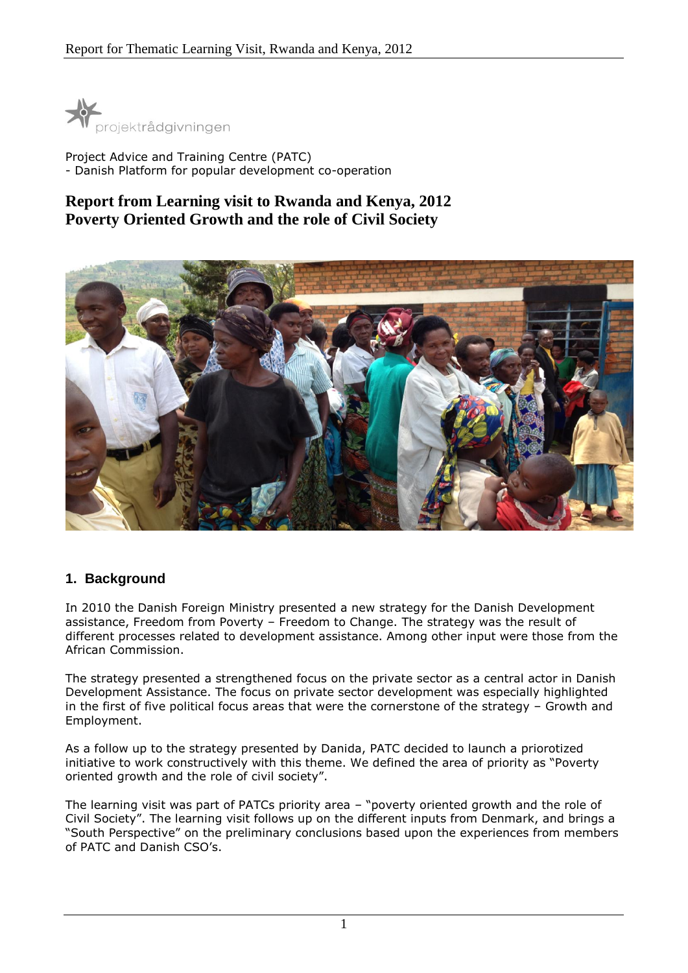

Project Advice and Training Centre (PATC) - Danish Platform for popular development co-operation

# **Report from Learning visit to Rwanda and Kenya, 2012 Poverty Oriented Growth and the role of Civil Society**



## **1. Background**

In 2010 the Danish Foreign Ministry presented a new strategy for the Danish Development assistance, Freedom from Poverty – Freedom to Change. The strategy was the result of different processes related to development assistance. Among other input were those from the African Commission.

The strategy presented a strengthened focus on the private sector as a central actor in Danish Development Assistance. The focus on private sector development was especially highlighted in the first of five political focus areas that were the cornerstone of the strategy – Growth and Employment.

As a follow up to the strategy presented by Danida, PATC decided to launch a priorotized initiative to work constructively with this theme. We defined the area of priority as "Poverty oriented growth and the role of civil society".

The learning visit was part of PATCs priority area – "poverty oriented growth and the role of Civil Society". The learning visit follows up on the different inputs from Denmark, and brings a "South Perspective" on the preliminary conclusions based upon the experiences from members of PATC and Danish CSO's.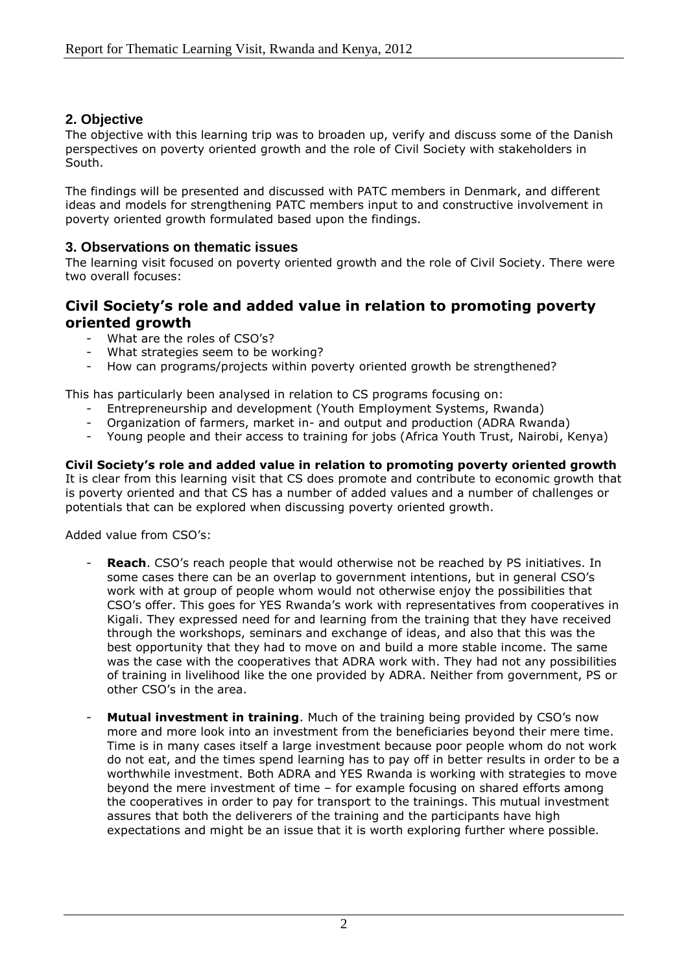## **2. Objective**

The objective with this learning trip was to broaden up, verify and discuss some of the Danish perspectives on poverty oriented growth and the role of Civil Society with stakeholders in South.

The findings will be presented and discussed with PATC members in Denmark, and different ideas and models for strengthening PATC members input to and constructive involvement in poverty oriented growth formulated based upon the findings.

### **3. Observations on thematic issues**

The learning visit focused on poverty oriented growth and the role of Civil Society. There were two overall focuses:

## **Civil Society's role and added value in relation to promoting poverty oriented growth**

- What are the roles of CSO's?
- What strategies seem to be working?
- How can programs/projects within poverty oriented growth be strengthened?

This has particularly been analysed in relation to CS programs focusing on:

- Entrepreneurship and development (Youth Employment Systems, Rwanda)
- Organization of farmers, market in- and output and production (ADRA Rwanda)
- Young people and their access to training for jobs (Africa Youth Trust, Nairobi, Kenya)

**Civil Society's role and added value in relation to promoting poverty oriented growth** It is clear from this learning visit that CS does promote and contribute to economic growth that is poverty oriented and that CS has a number of added values and a number of challenges or potentials that can be explored when discussing poverty oriented growth.

#### Added value from CSO's:

- **Reach**. CSO's reach people that would otherwise not be reached by PS initiatives. In some cases there can be an overlap to government intentions, but in general CSO's work with at group of people whom would not otherwise enjoy the possibilities that CSO's offer. This goes for YES Rwanda's work with representatives from cooperatives in Kigali. They expressed need for and learning from the training that they have received through the workshops, seminars and exchange of ideas, and also that this was the best opportunity that they had to move on and build a more stable income. The same was the case with the cooperatives that ADRA work with. They had not any possibilities of training in livelihood like the one provided by ADRA. Neither from government, PS or other CSO's in the area.
- Mutual investment in training. Much of the training being provided by CSO's now more and more look into an investment from the beneficiaries beyond their mere time. Time is in many cases itself a large investment because poor people whom do not work do not eat, and the times spend learning has to pay off in better results in order to be a worthwhile investment. Both ADRA and YES Rwanda is working with strategies to move beyond the mere investment of time – for example focusing on shared efforts among the cooperatives in order to pay for transport to the trainings. This mutual investment assures that both the deliverers of the training and the participants have high expectations and might be an issue that it is worth exploring further where possible.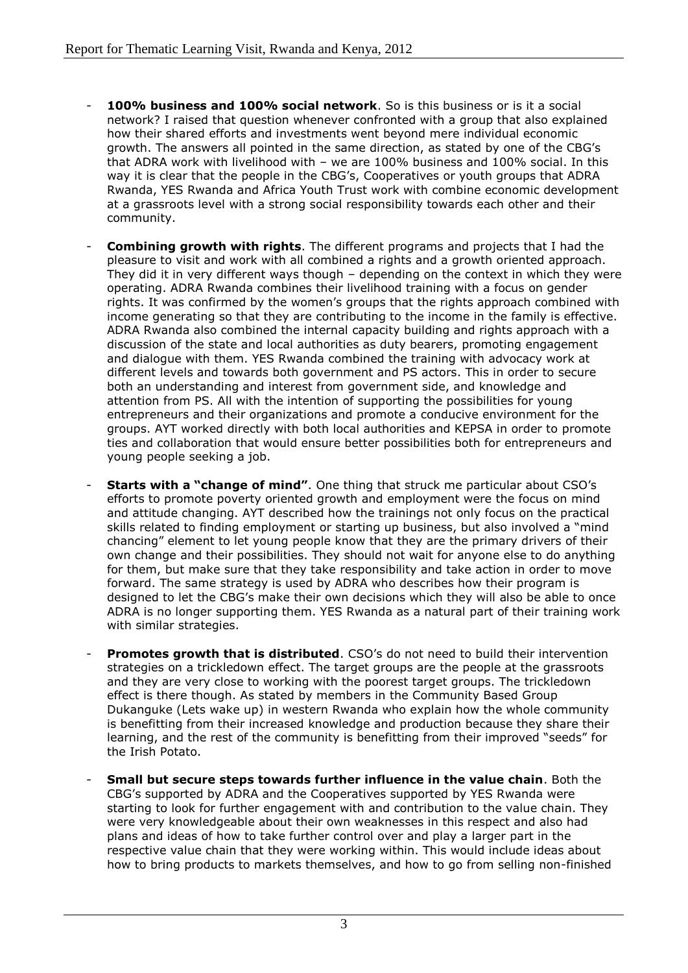- 100% business and 100% social network. So is this business or is it a social network? I raised that question whenever confronted with a group that also explained how their shared efforts and investments went beyond mere individual economic growth. The answers all pointed in the same direction, as stated by one of the CBG's that ADRA work with livelihood with – we are 100% business and 100% social. In this way it is clear that the people in the CBG's, Cooperatives or youth groups that ADRA Rwanda, YES Rwanda and Africa Youth Trust work with combine economic development at a grassroots level with a strong social responsibility towards each other and their community.
- **Combining growth with rights**. The different programs and projects that I had the pleasure to visit and work with all combined a rights and a growth oriented approach. They did it in very different ways though – depending on the context in which they were operating. ADRA Rwanda combines their livelihood training with a focus on gender rights. It was confirmed by the women's groups that the rights approach combined with income generating so that they are contributing to the income in the family is effective. ADRA Rwanda also combined the internal capacity building and rights approach with a discussion of the state and local authorities as duty bearers, promoting engagement and dialogue with them. YES Rwanda combined the training with advocacy work at different levels and towards both government and PS actors. This in order to secure both an understanding and interest from government side, and knowledge and attention from PS. All with the intention of supporting the possibilities for young entrepreneurs and their organizations and promote a conducive environment for the groups. AYT worked directly with both local authorities and KEPSA in order to promote ties and collaboration that would ensure better possibilities both for entrepreneurs and young people seeking a job.
- **Starts with a "change of mind"**. One thing that struck me particular about CSO's efforts to promote poverty oriented growth and employment were the focus on mind and attitude changing. AYT described how the trainings not only focus on the practical skills related to finding employment or starting up business, but also involved a "mind chancing" element to let young people know that they are the primary drivers of their own change and their possibilities. They should not wait for anyone else to do anything for them, but make sure that they take responsibility and take action in order to move forward. The same strategy is used by ADRA who describes how their program is designed to let the CBG's make their own decisions which they will also be able to once ADRA is no longer supporting them. YES Rwanda as a natural part of their training work with similar strategies.
- **Promotes growth that is distributed.** CSO's do not need to build their intervention strategies on a trickledown effect. The target groups are the people at the grassroots and they are very close to working with the poorest target groups. The trickledown effect is there though. As stated by members in the Community Based Group Dukanguke (Lets wake up) in western Rwanda who explain how the whole community is benefitting from their increased knowledge and production because they share their learning, and the rest of the community is benefitting from their improved "seeds" for the Irish Potato.
- **Small but secure steps towards further influence in the value chain**. Both the CBG's supported by ADRA and the Cooperatives supported by YES Rwanda were starting to look for further engagement with and contribution to the value chain. They were very knowledgeable about their own weaknesses in this respect and also had plans and ideas of how to take further control over and play a larger part in the respective value chain that they were working within. This would include ideas about how to bring products to markets themselves, and how to go from selling non-finished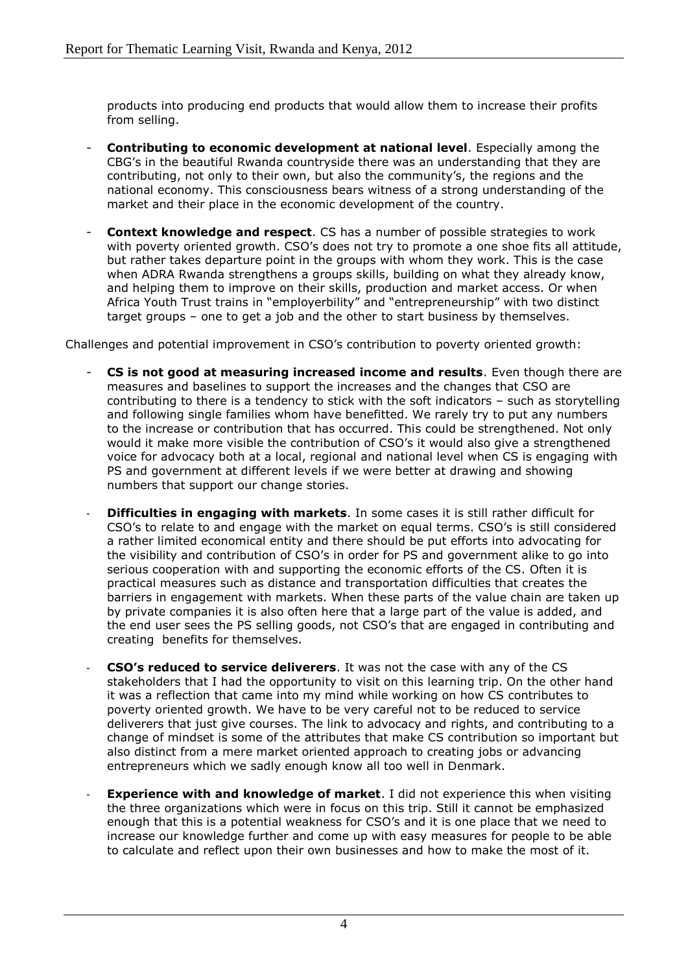products into producing end products that would allow them to increase their profits from selling.

- **Contributing to economic development at national level**. Especially among the CBG's in the beautiful Rwanda countryside there was an understanding that they are contributing, not only to their own, but also the community's, the regions and the national economy. This consciousness bears witness of a strong understanding of the market and their place in the economic development of the country.
- **Context knowledge and respect**. CS has a number of possible strategies to work with poverty oriented growth. CSO's does not try to promote a one shoe fits all attitude, but rather takes departure point in the groups with whom they work. This is the case when ADRA Rwanda strengthens a groups skills, building on what they already know, and helping them to improve on their skills, production and market access. Or when Africa Youth Trust trains in "employerbility" and "entrepreneurship" with two distinct target groups – one to get a job and the other to start business by themselves.

Challenges and potential improvement in CSO's contribution to poverty oriented growth:

- **CS is not good at measuring increased income and results**. Even though there are measures and baselines to support the increases and the changes that CSO are contributing to there is a tendency to stick with the soft indicators – such as storytelling and following single families whom have benefitted. We rarely try to put any numbers to the increase or contribution that has occurred. This could be strengthened. Not only would it make more visible the contribution of CSO's it would also give a strengthened voice for advocacy both at a local, regional and national level when CS is engaging with PS and government at different levels if we were better at drawing and showing numbers that support our change stories.
- **Difficulties in engaging with markets**. In some cases it is still rather difficult for CSO's to relate to and engage with the market on equal terms. CSO's is still considered a rather limited economical entity and there should be put efforts into advocating for the visibility and contribution of CSO's in order for PS and government alike to go into serious cooperation with and supporting the economic efforts of the CS. Often it is practical measures such as distance and transportation difficulties that creates the barriers in engagement with markets. When these parts of the value chain are taken up by private companies it is also often here that a large part of the value is added, and the end user sees the PS selling goods, not CSO's that are engaged in contributing and creating benefits for themselves.
- **CSO's reduced to service deliverers**. It was not the case with any of the CS stakeholders that I had the opportunity to visit on this learning trip. On the other hand it was a reflection that came into my mind while working on how CS contributes to poverty oriented growth. We have to be very careful not to be reduced to service deliverers that just give courses. The link to advocacy and rights, and contributing to a change of mindset is some of the attributes that make CS contribution so important but also distinct from a mere market oriented approach to creating jobs or advancing entrepreneurs which we sadly enough know all too well in Denmark.
- **Experience with and knowledge of market**. I did not experience this when visiting the three organizations which were in focus on this trip. Still it cannot be emphasized enough that this is a potential weakness for CSO's and it is one place that we need to increase our knowledge further and come up with easy measures for people to be able to calculate and reflect upon their own businesses and how to make the most of it.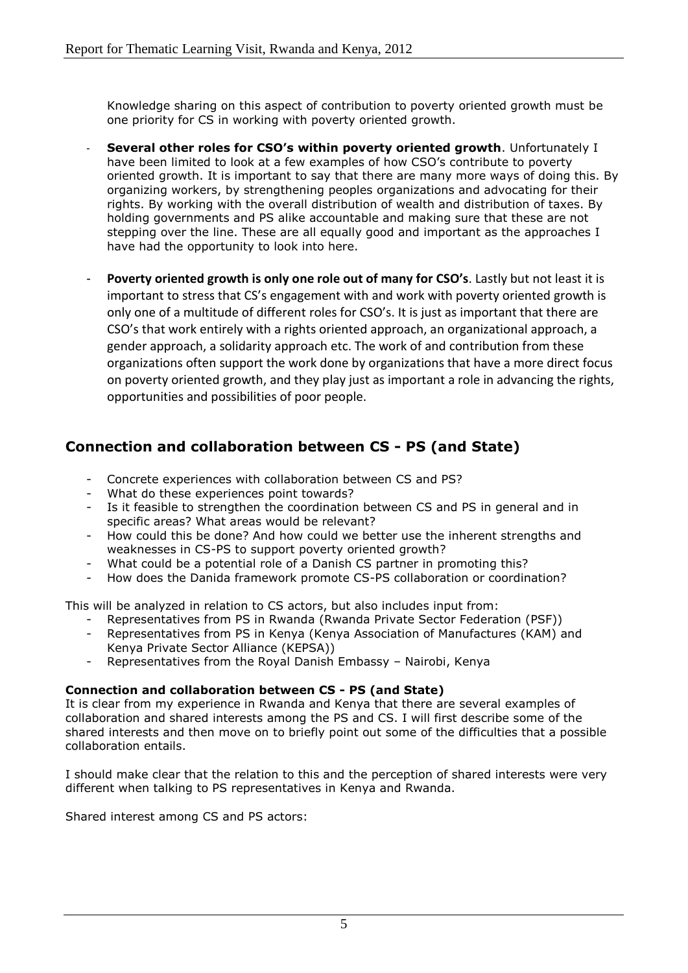Knowledge sharing on this aspect of contribution to poverty oriented growth must be one priority for CS in working with poverty oriented growth.

- **Several other roles for CSO's within poverty oriented growth**. Unfortunately I have been limited to look at a few examples of how CSO's contribute to poverty oriented growth. It is important to say that there are many more ways of doing this. By organizing workers, by strengthening peoples organizations and advocating for their rights. By working with the overall distribution of wealth and distribution of taxes. By holding governments and PS alike accountable and making sure that these are not stepping over the line. These are all equally good and important as the approaches I have had the opportunity to look into here.
- Poverty oriented growth is only one role out of many for CSO's. Lastly but not least it is important to stress that CS's engagement with and work with poverty oriented growth is only one of a multitude of different roles for CSO's. It is just as important that there are CSO's that work entirely with a rights oriented approach, an organizational approach, a gender approach, a solidarity approach etc. The work of and contribution from these organizations often support the work done by organizations that have a more direct focus on poverty oriented growth, and they play just as important a role in advancing the rights, opportunities and possibilities of poor people.

# **Connection and collaboration between CS - PS (and State)**

- Concrete experiences with collaboration between CS and PS?
- What do these experiences point towards?
- Is it feasible to strengthen the coordination between CS and PS in general and in specific areas? What areas would be relevant?
- How could this be done? And how could we better use the inherent strengths and weaknesses in CS-PS to support poverty oriented growth?
- What could be a potential role of a Danish CS partner in promoting this?
- How does the Danida framework promote CS-PS collaboration or coordination?

This will be analyzed in relation to CS actors, but also includes input from:

- Representatives from PS in Rwanda (Rwanda Private Sector Federation (PSF))
- Representatives from PS in Kenya (Kenya Association of Manufactures (KAM) and Kenya Private Sector Alliance (KEPSA))
- Representatives from the Royal Danish Embassy Nairobi, Kenya

### **Connection and collaboration between CS - PS (and State)**

It is clear from my experience in Rwanda and Kenya that there are several examples of collaboration and shared interests among the PS and CS. I will first describe some of the shared interests and then move on to briefly point out some of the difficulties that a possible collaboration entails.

I should make clear that the relation to this and the perception of shared interests were very different when talking to PS representatives in Kenya and Rwanda.

Shared interest among CS and PS actors: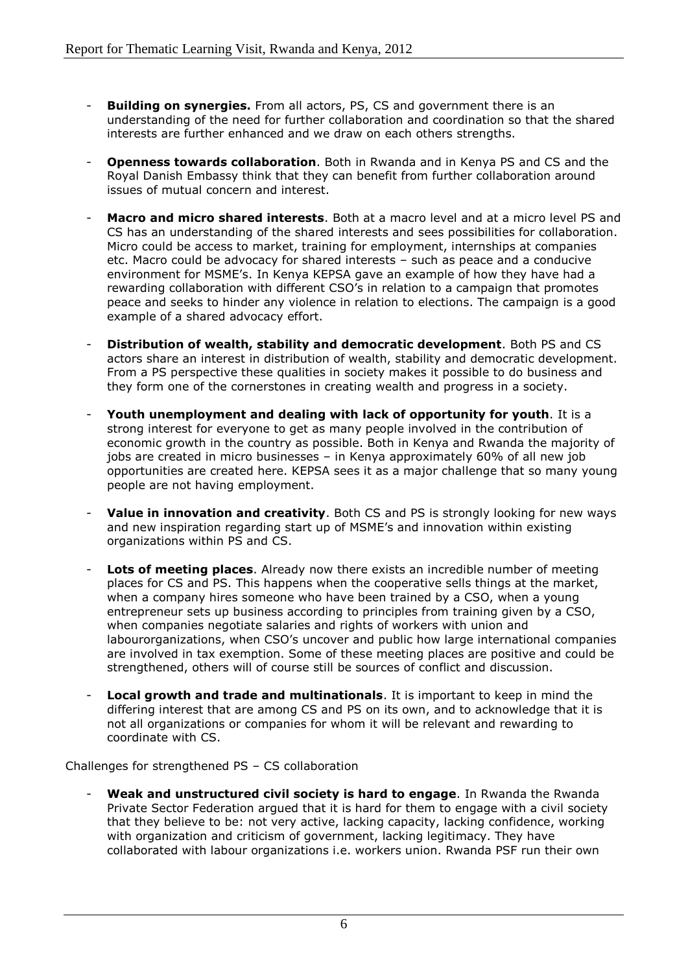- **Building on synergies.** From all actors, PS, CS and government there is an understanding of the need for further collaboration and coordination so that the shared interests are further enhanced and we draw on each others strengths.
- **Openness towards collaboration**. Both in Rwanda and in Kenya PS and CS and the Royal Danish Embassy think that they can benefit from further collaboration around issues of mutual concern and interest.
- **Macro and micro shared interests.** Both at a macro level and at a micro level PS and CS has an understanding of the shared interests and sees possibilities for collaboration. Micro could be access to market, training for employment, internships at companies etc. Macro could be advocacy for shared interests – such as peace and a conducive environment for MSME's. In Kenya KEPSA gave an example of how they have had a rewarding collaboration with different CSO's in relation to a campaign that promotes peace and seeks to hinder any violence in relation to elections. The campaign is a good example of a shared advocacy effort.
- **Distribution of wealth, stability and democratic development**. Both PS and CS actors share an interest in distribution of wealth, stability and democratic development. From a PS perspective these qualities in society makes it possible to do business and they form one of the cornerstones in creating wealth and progress in a society.
- Youth unemployment and dealing with lack of opportunity for youth. It is a strong interest for everyone to get as many people involved in the contribution of economic growth in the country as possible. Both in Kenya and Rwanda the majority of jobs are created in micro businesses – in Kenya approximately 60% of all new job opportunities are created here. KEPSA sees it as a major challenge that so many young people are not having employment.
- **Value in innovation and creativity**. Both CS and PS is strongly looking for new ways and new inspiration regarding start up of MSME's and innovation within existing organizations within PS and CS.
- **Lots of meeting places.** Already now there exists an incredible number of meeting places for CS and PS. This happens when the cooperative sells things at the market, when a company hires someone who have been trained by a CSO, when a young entrepreneur sets up business according to principles from training given by a CSO, when companies negotiate salaries and rights of workers with union and labourorganizations, when CSO's uncover and public how large international companies are involved in tax exemption. Some of these meeting places are positive and could be strengthened, others will of course still be sources of conflict and discussion.
- Local growth and trade and multinationals. It is important to keep in mind the differing interest that are among CS and PS on its own, and to acknowledge that it is not all organizations or companies for whom it will be relevant and rewarding to coordinate with CS.

Challenges for strengthened PS – CS collaboration

- **Weak and unstructured civil society is hard to engage**. In Rwanda the Rwanda Private Sector Federation argued that it is hard for them to engage with a civil society that they believe to be: not very active, lacking capacity, lacking confidence, working with organization and criticism of government, lacking legitimacy. They have collaborated with labour organizations i.e. workers union. Rwanda PSF run their own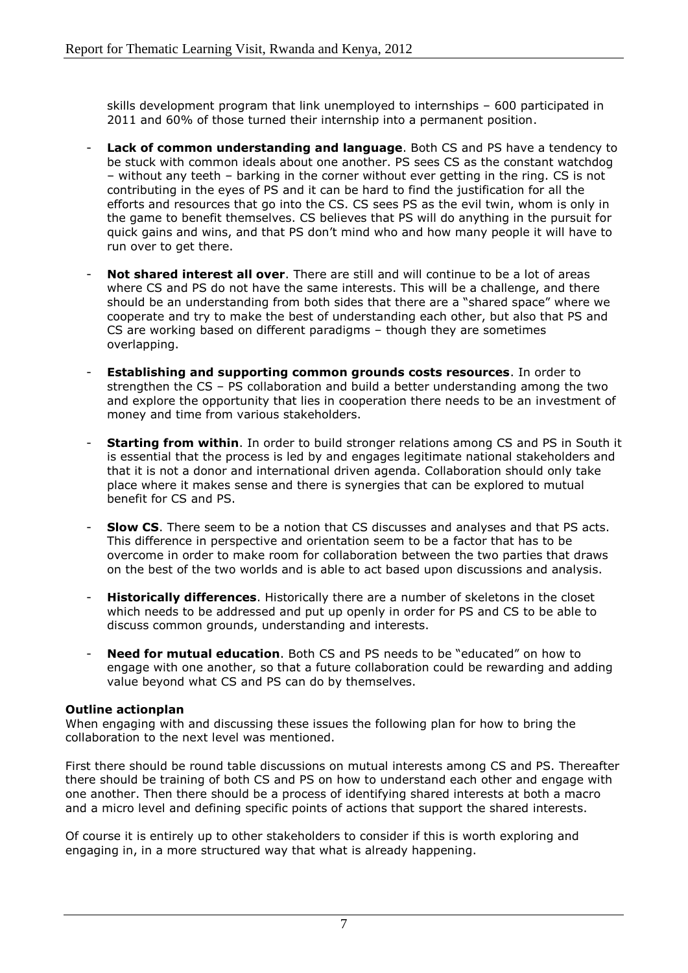skills development program that link unemployed to internships – 600 participated in 2011 and 60% of those turned their internship into a permanent position.

- **Lack of common understanding and language**. Both CS and PS have a tendency to be stuck with common ideals about one another. PS sees CS as the constant watchdog – without any teeth – barking in the corner without ever getting in the ring. CS is not contributing in the eyes of PS and it can be hard to find the justification for all the efforts and resources that go into the CS. CS sees PS as the evil twin, whom is only in the game to benefit themselves. CS believes that PS will do anything in the pursuit for quick gains and wins, and that PS don't mind who and how many people it will have to run over to get there.
- **Not shared interest all over**. There are still and will continue to be a lot of areas where CS and PS do not have the same interests. This will be a challenge, and there should be an understanding from both sides that there are a "shared space" where we cooperate and try to make the best of understanding each other, but also that PS and CS are working based on different paradigms – though they are sometimes overlapping.
- **Establishing and supporting common grounds costs resources**. In order to strengthen the CS – PS collaboration and build a better understanding among the two and explore the opportunity that lies in cooperation there needs to be an investment of money and time from various stakeholders.
- **Starting from within**. In order to build stronger relations among CS and PS in South it is essential that the process is led by and engages legitimate national stakeholders and that it is not a donor and international driven agenda. Collaboration should only take place where it makes sense and there is synergies that can be explored to mutual benefit for CS and PS.
- **Slow CS**. There seem to be a notion that CS discusses and analyses and that PS acts. This difference in perspective and orientation seem to be a factor that has to be overcome in order to make room for collaboration between the two parties that draws on the best of the two worlds and is able to act based upon discussions and analysis.
- **Historically differences**. Historically there are a number of skeletons in the closet which needs to be addressed and put up openly in order for PS and CS to be able to discuss common grounds, understanding and interests.
- **Need for mutual education**. Both CS and PS needs to be "educated" on how to engage with one another, so that a future collaboration could be rewarding and adding value beyond what CS and PS can do by themselves.

### **Outline actionplan**

When engaging with and discussing these issues the following plan for how to bring the collaboration to the next level was mentioned.

First there should be round table discussions on mutual interests among CS and PS. Thereafter there should be training of both CS and PS on how to understand each other and engage with one another. Then there should be a process of identifying shared interests at both a macro and a micro level and defining specific points of actions that support the shared interests.

Of course it is entirely up to other stakeholders to consider if this is worth exploring and engaging in, in a more structured way that what is already happening.